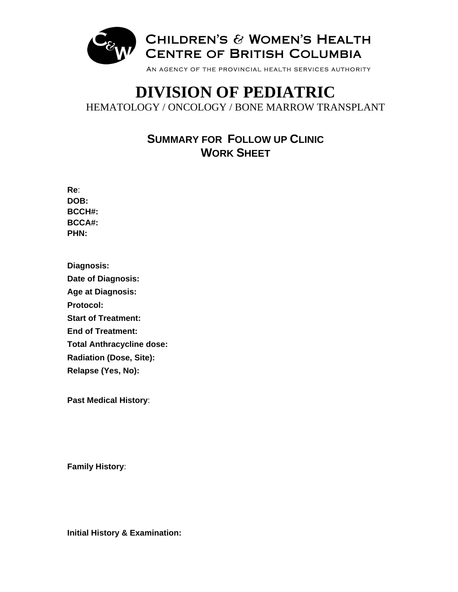

# **DIVISION OF PEDIATRIC**  HEMATOLOGY / ONCOLOGY / BONE MARROW TRANSPLANT

## **SUMMARY FOR FOLLOW UP CLINIC WORK SHEET**

| Re:                              |
|----------------------------------|
| DOB:                             |
| BCCH#:                           |
| BCCA#:                           |
| <b>PHN</b>                       |
|                                  |
| Diagnosis:                       |
|                                  |
| Date of Diagnosis:               |
| <b>Age at Diagnosis:</b>         |
| Protocol:                        |
| <b>Start of Treatment:</b>       |
| <b>End of Treatment:</b>         |
| <b>Total Anthracycline dose:</b> |
| <b>Radiation (Dose, Site):</b>   |
| Relapse (Yes, No):               |
|                                  |

**Past Medical History**:

**Family History**:

**Initial History & Examination:**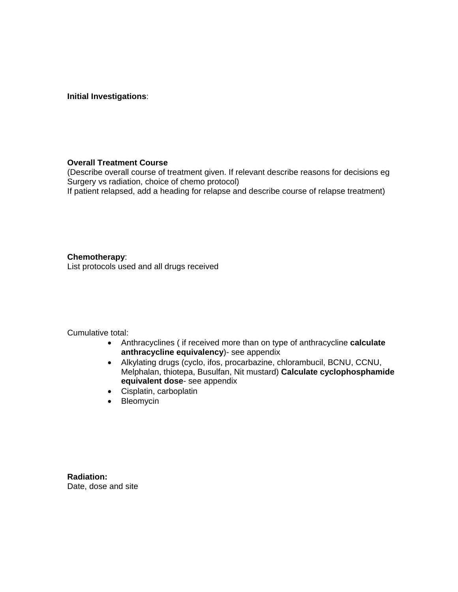**Initial Investigations**:

#### **Overall Treatment Course**

(Describe overall course of treatment given. If relevant describe reasons for decisions eg Surgery vs radiation, choice of chemo protocol)

If patient relapsed, add a heading for relapse and describe course of relapse treatment)

#### **Chemotherapy**:

List protocols used and all drugs received

Cumulative total:

- Anthracyclines ( if received more than on type of anthracycline **calculate anthracycline equivalency**)- see appendix
- Alkylating drugs (cyclo, ifos, procarbazine, chlorambucil, BCNU, CCNU, Melphalan, thiotepa, Busulfan, Nit mustard) **Calculate cyclophosphamide equivalent dose**- see appendix
- Cisplatin, carboplatin
- Bleomycin

**Radiation:** Date, dose and site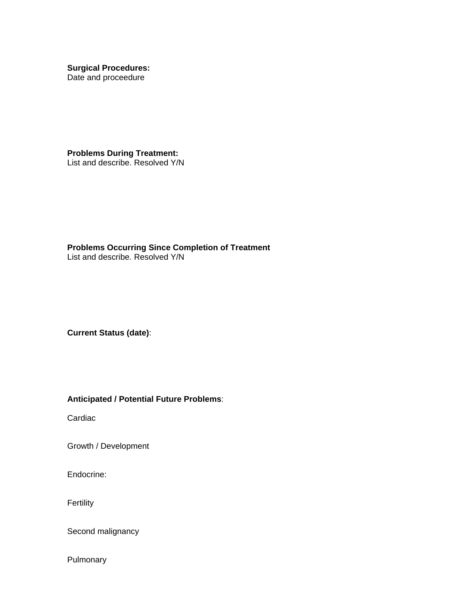**Surgical Procedures:**  Date and proceedure

**Problems During Treatment:**  List and describe. Resolved Y/N

**Problems Occurring Since Completion of Treatment**  List and describe. Resolved Y/N

**Current Status (date)**:

#### **Anticipated / Potential Future Problems**:

**Cardiac** 

Growth / Development

Endocrine:

Fertility

Second malignancy

Pulmonary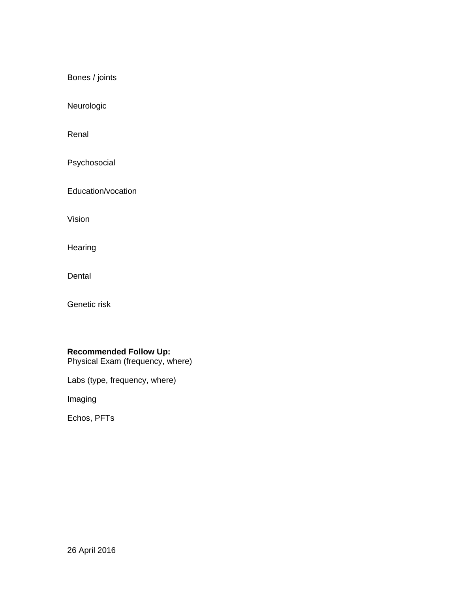Bones / joints

Neurologic

Renal

Psychosocial

Education/vocation

Vision

**Hearing** 

Dental

Genetic risk

## **Recommended Follow Up:**

Physical Exam (frequency, where)

Labs (type, frequency, where)

Imaging

Echos, PFTs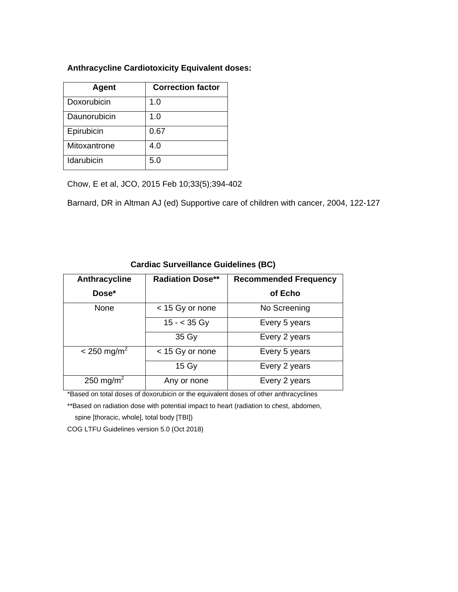### **Anthracycline Cardiotoxicity Equivalent doses:**

| Agent             | <b>Correction factor</b> |
|-------------------|--------------------------|
| Doxorubicin       | 1.0                      |
| Daunorubicin      | 1.0                      |
| Epirubicin        | 0.67                     |
| Mitoxantrone      | 4.0                      |
| <b>Idarubicin</b> | 5.0                      |

Chow, E et al, JCO, 2015 Feb 10;33(5);394-402

Barnard, DR in Altman AJ (ed) Supportive care of children with cancer, 2004, 122-127

| Anthracycline             | <b>Radiation Dose**</b> | <b>Recommended Frequency</b> |
|---------------------------|-------------------------|------------------------------|
| Dose*                     |                         | of Echo                      |
| None                      | < 15 Gy or none         | No Screening                 |
|                           | $15 - 35$ Gy            | Every 5 years                |
|                           | 35 Gy                   | Every 2 years                |
| $< 250$ mg/m <sup>2</sup> | < 15 Gy or none         | Every 5 years                |
|                           | 15 Gy                   | Every 2 years                |
| 250 mg/m <sup>2</sup>     | Any or none             | Every 2 years                |

## **Cardiac Surveillance Guidelines (BC)**

\*Based on total doses of doxorubicin or the equivalent doses of other anthracyclines

\*\*Based on radiation dose with potential impact to heart (radiation to chest, abdomen,

spine [thoracic, whole], total body [TBI])

COG LTFU Guidelines version 5.0 (Oct 2018)